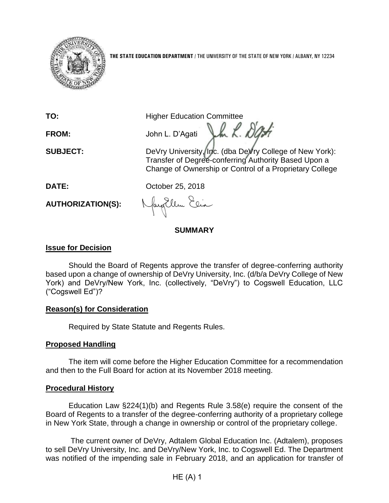

**THE STATE EDUCATION DEPARTMENT** / THE UNIVERSITY OF THE STATE OF NEW YORK / ALBANY, NY 12234

**TO:** Higher Education Committee

FROM: John L. D'Agati John R. D'Agati

**SUBJECT:** DeVry University, Inc. (dba DeVry College of New York): Transfer of Degree-conferring Authority Based Upon a Change of Ownership or Control of a Proprietary College

**DATE:** October 25, 2018

**AUTHORIZATION(S):**

JacqEllen Elia

# **SUMMARY**

# **Issue for Decision**

Should the Board of Regents approve the transfer of degree-conferring authority based upon a change of ownership of DeVry University, Inc. (d/b/a DeVry College of New York) and DeVry/New York, Inc. (collectively, "DeVry") to Cogswell Education, LLC ("Cogswell Ed")?

# **Reason(s) for Consideration**

Required by State Statute and Regents Rules.

# **Proposed Handling**

The item will come before the Higher Education Committee for a recommendation and then to the Full Board for action at its November 2018 meeting.

### **Procedural History**

Education Law §224(1)(b) and Regents Rule 3.58(e) require the consent of the Board of Regents to a transfer of the degree-conferring authority of a proprietary college in New York State, through a change in ownership or control of the proprietary college.

The current owner of DeVry, Adtalem Global Education Inc. (Adtalem), proposes to sell DeVry University, Inc. and DeVry/New York, Inc. to Cogswell Ed. The Department was notified of the impending sale in February 2018, and an application for transfer of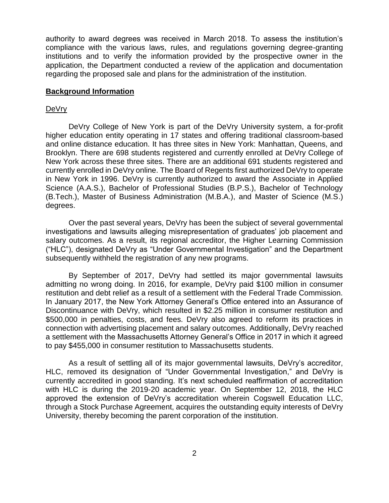authority to award degrees was received in March 2018. To assess the institution's compliance with the various laws, rules, and regulations governing degree-granting institutions and to verify the information provided by the prospective owner in the application, the Department conducted a review of the application and documentation regarding the proposed sale and plans for the administration of the institution.

#### **Background Information**

#### DeVry

DeVry College of New York is part of the DeVry University system, a for-profit higher education entity operating in 17 states and offering traditional classroom-based and online distance education. It has three sites in New York: Manhattan, Queens, and Brooklyn. There are 698 students registered and currently enrolled at DeVry College of New York across these three sites. There are an additional 691 students registered and currently enrolled in DeVry online. The Board of Regents first authorized DeVry to operate in New York in 1996. DeVry is currently authorized to award the Associate in Applied Science (A.A.S.), Bachelor of Professional Studies (B.P.S.), Bachelor of Technology (B.Tech.), Master of Business Administration (M.B.A.), and Master of Science (M.S.) degrees.

Over the past several years, DeVry has been the subject of several governmental investigations and lawsuits alleging misrepresentation of graduates' job placement and salary outcomes. As a result, its regional accreditor, the Higher Learning Commission ("HLC"), designated DeVry as "Under Governmental Investigation" and the Department subsequently withheld the registration of any new programs.

By September of 2017, DeVry had settled its major governmental lawsuits admitting no wrong doing. In 2016, for example, DeVry paid \$100 million in consumer restitution and debt relief as a result of a settlement with the Federal Trade Commission. In January 2017, the New York Attorney General's Office entered into an Assurance of Discontinuance with DeVry, which resulted in \$2.25 million in consumer restitution and \$500,000 in penalties, costs, and fees. DeVry also agreed to reform its practices in connection with advertising placement and salary outcomes. Additionally, DeVry reached a settlement with the Massachusetts Attorney General's Office in 2017 in which it agreed to pay \$455,000 in consumer restitution to Massachusetts students.

As a result of settling all of its major governmental lawsuits, DeVry's accreditor, HLC, removed its designation of "Under Governmental Investigation," and DeVry is currently accredited in good standing. It's next scheduled reaffirmation of accreditation with HLC is during the 2019-20 academic year. On September 12, 2018, the HLC approved the extension of DeVry's accreditation wherein Cogswell Education LLC, through a Stock Purchase Agreement, acquires the outstanding equity interests of DeVry University, thereby becoming the parent corporation of the institution.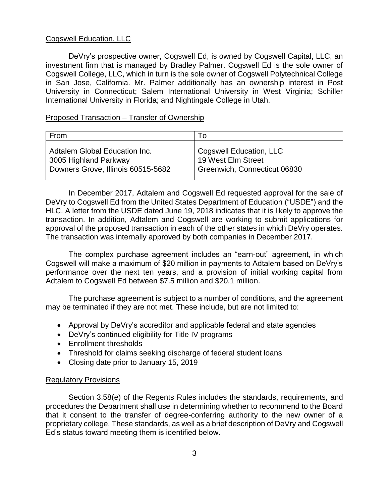### Cogswell Education, LLC

DeVry's prospective owner, Cogswell Ed, is owned by Cogswell Capital, LLC, an investment firm that is managed by Bradley Palmer. Cogswell Ed is the sole owner of Cogswell College, LLC, which in turn is the sole owner of Cogswell Polytechnical College in San Jose, California. Mr. Palmer additionally has an ownership interest in Post University in Connecticut; Salem International University in West Virginia; Schiller International University in Florida; and Nightingale College in Utah.

### Proposed Transaction – Transfer of Ownership

| From                               | To                           |
|------------------------------------|------------------------------|
| Adtalem Global Education Inc.      | Cogswell Education, LLC      |
| 3005 Highland Parkway              | 19 West Elm Street           |
| Downers Grove, Illinois 60515-5682 | Greenwich, Connecticut 06830 |

In December 2017, Adtalem and Cogswell Ed requested approval for the sale of DeVry to Cogswell Ed from the United States Department of Education ("USDE") and the HLC. A letter from the USDE dated June 19, 2018 indicates that it is likely to approve the transaction. In addition, Adtalem and Cogswell are working to submit applications for approval of the proposed transaction in each of the other states in which DeVry operates. The transaction was internally approved by both companies in December 2017.

The complex purchase agreement includes an "earn-out" agreement, in which Cogswell will make a maximum of \$20 million in payments to Adtalem based on DeVry's performance over the next ten years, and a provision of initial working capital from Adtalem to Cogswell Ed between \$7.5 million and \$20.1 million.

The purchase agreement is subject to a number of conditions, and the agreement may be terminated if they are not met. These include, but are not limited to:

- Approval by DeVry's accreditor and applicable federal and state agencies
- DeVry's continued eligibility for Title IV programs
- Enrollment thresholds
- Threshold for claims seeking discharge of federal student loans
- Closing date prior to January 15, 2019

### Regulatory Provisions

Section 3.58(e) of the Regents Rules includes the standards, requirements, and procedures the Department shall use in determining whether to recommend to the Board that it consent to the transfer of degree-conferring authority to the new owner of a proprietary college. These standards, as well as a brief description of DeVry and Cogswell Ed's status toward meeting them is identified below.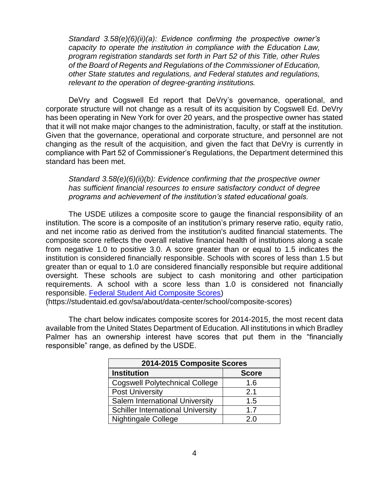*Standard 3.58(e)(6)(ii)(a): Evidence confirming the prospective owner's capacity to operate the institution in compliance with the Education Law, program registration standards set forth in Part 52 of this Title, other Rules of the Board of Regents and Regulations of the Commissioner of Education, other State statutes and regulations, and Federal statutes and regulations, relevant to the operation of degree-granting institutions.* 

DeVry and Cogswell Ed report that DeVry's governance, operational, and corporate structure will not change as a result of its acquisition by Cogswell Ed. DeVry has been operating in New York for over 20 years, and the prospective owner has stated that it will not make major changes to the administration, faculty, or staff at the institution. Given that the governance, operational and corporate structure, and personnel are not changing as the result of the acquisition, and given the fact that DeVry is currently in compliance with Part 52 of Commissioner's Regulations, the Department determined this standard has been met.

*Standard 3.58(e)(6)(ii)(b): Evidence confirming that the prospective owner has sufficient financial resources to ensure satisfactory conduct of degree programs and achievement of the institution's stated educational goals.* 

The USDE utilizes a composite score to gauge the financial responsibility of an institution. The score is a composite of an institution's primary reserve ratio, equity ratio, and net income ratio as derived from the institution's audited financial statements. The composite score reflects the overall relative financial health of institutions along a scale from negative 1.0 to positive 3.0. A score greater than or equal to 1.5 indicates the institution is considered financially responsible. Schools with scores of less than 1.5 but greater than or equal to 1.0 are considered financially responsible but require additional oversight. These schools are subject to cash monitoring and other participation requirements. A school with a score less than 1.0 is considered not financially responsible. [Federal Student Aid Composite Scores\)](https://studentaid.ed.gov/sa/about/data-center/school/composite-scores)

(https://studentaid.ed.gov/sa/about/data-center/school/composite-scores)

The chart below indicates composite scores for 2014-2015, the most recent data available from the United States Department of Education. All institutions in which Bradley Palmer has an ownership interest have scores that put them in the "financially responsible" range, as defined by the USDE.

| 2014-2015 Composite Scores               |              |  |  |
|------------------------------------------|--------------|--|--|
| <b>Institution</b>                       | <b>Score</b> |  |  |
| <b>Cogswell Polytechnical College</b>    | 1.6          |  |  |
| <b>Post University</b>                   | 2.1          |  |  |
| Salem International University           | 1.5          |  |  |
| <b>Schiller International University</b> | 1.7          |  |  |
| <b>Nightingale College</b>               | 2 በ          |  |  |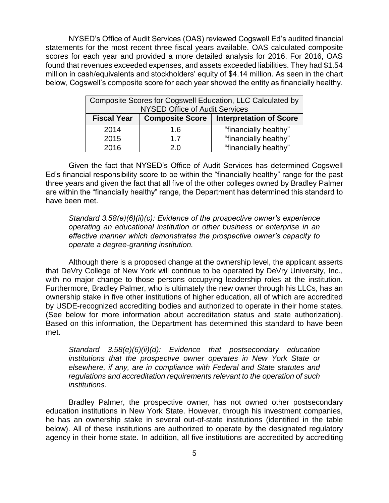NYSED's Office of Audit Services (OAS) reviewed Cogswell Ed's audited financial statements for the most recent three fiscal years available. OAS calculated composite scores for each year and provided a more detailed analysis for 2016. For 2016, OAS found that revenues exceeded expenses, and assets exceeded liabilities. They had \$1.54 million in cash/equivalents and stockholders' equity of \$4.14 million. As seen in the chart below, Cogswell's composite score for each year showed the entity as financially healthy.

| Composite Scores for Cogswell Education, LLC Calculated by |                        |                                |  |  |
|------------------------------------------------------------|------------------------|--------------------------------|--|--|
| <b>NYSED Office of Audit Services</b>                      |                        |                                |  |  |
| <b>Fiscal Year</b>                                         | <b>Composite Score</b> | <b>Interpretation of Score</b> |  |  |
| 2014                                                       | 1.6                    | "financially healthy"          |  |  |
| 2015                                                       | 17                     | "financially healthy"          |  |  |
| 2016                                                       | 2 በ                    | "financially healthy"          |  |  |

Given the fact that NYSED's Office of Audit Services has determined Cogswell Ed's financial responsibility score to be within the "financially healthy" range for the past three years and given the fact that all five of the other colleges owned by Bradley Palmer are within the "financially healthy" range, the Department has determined this standard to have been met.

*Standard 3.58(e)(6)(ii)(c): Evidence of the prospective owner's experience operating an educational institution or other business or enterprise in an effective manner which demonstrates the prospective owner's capacity to operate a degree-granting institution.* 

Although there is a proposed change at the ownership level, the applicant asserts that DeVry College of New York will continue to be operated by DeVry University, Inc., with no major change to those persons occupying leadership roles at the institution. Furthermore, Bradley Palmer, who is ultimately the new owner through his LLCs, has an ownership stake in five other institutions of higher education, all of which are accredited by USDE-recognized accrediting bodies and authorized to operate in their home states. (See below for more information about accreditation status and state authorization). Based on this information, the Department has determined this standard to have been met.

*Standard 3.58(e)(6)(ii)(d): Evidence that postsecondary education institutions that the prospective owner operates in New York State or elsewhere, if any, are in compliance with Federal and State statutes and regulations and accreditation requirements relevant to the operation of such institutions.* 

Bradley Palmer, the prospective owner, has not owned other postsecondary education institutions in New York State. However, through his investment companies, he has an ownership stake in several out-of-state institutions (identified in the table below). All of these institutions are authorized to operate by the designated regulatory agency in their home state. In addition, all five institutions are accredited by accrediting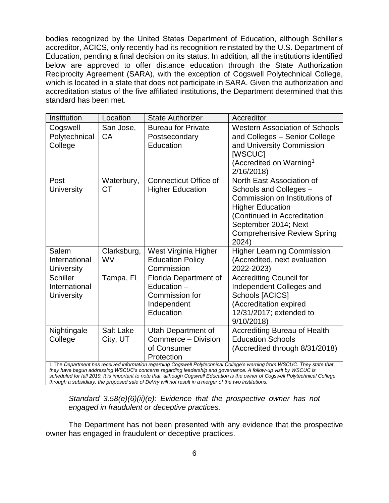bodies recognized by the United States Department of Education, although Schiller's accreditor, ACICS, only recently had its recognition reinstated by the U.S. Department of Education, pending a final decision on its status. In addition, all the institutions identified below are approved to offer distance education through the State Authorization Reciprocity Agreement (SARA), with the exception of Cogswell Polytechnical College, which is located in a state that does not participate in SARA. Given the authorization and accreditation status of the five affiliated institutions, the Department determined that this standard has been met.

| Institution                                                                                                                                                                                                                                | Location                     | <b>State Authorizer</b>                                                            | Accreditor                                                                                                                                                                                                            |  |
|--------------------------------------------------------------------------------------------------------------------------------------------------------------------------------------------------------------------------------------------|------------------------------|------------------------------------------------------------------------------------|-----------------------------------------------------------------------------------------------------------------------------------------------------------------------------------------------------------------------|--|
| Cogswell<br>Polytechnical<br>College                                                                                                                                                                                                       | San Jose,<br>CA              | <b>Bureau for Private</b><br>Postsecondary<br>Education                            | <b>Western Association of Schools</b><br>and Colleges - Senior College<br>and University Commission<br>[WSCUC]<br>(Accredited on Warning <sup>1</sup><br>2/16/2018)                                                   |  |
| Post<br><b>University</b>                                                                                                                                                                                                                  | Waterbury,<br><b>CT</b>      | <b>Connecticut Office of</b><br><b>Higher Education</b>                            | North East Association of<br>Schools and Colleges -<br>Commission on Institutions of<br><b>Higher Education</b><br>(Continued in Accreditation<br>September 2014; Next<br><b>Comprehensive Review Spring</b><br>2024) |  |
| Salem<br>International<br>University                                                                                                                                                                                                       | Clarksburg,<br>WV            | West Virginia Higher<br><b>Education Policy</b><br>Commission                      | <b>Higher Learning Commission</b><br>(Accredited, next evaluation<br>2022-2023)                                                                                                                                       |  |
| <b>Schiller</b><br>International<br>University                                                                                                                                                                                             | Tampa, FL                    | Florida Department of<br>Education -<br>Commission for<br>Independent<br>Education | <b>Accrediting Council for</b><br>Independent Colleges and<br>Schools [ACICS]<br>(Accreditation expired<br>12/31/2017; extended to<br>9/10/2018)                                                                      |  |
| Nightingale<br>College                                                                                                                                                                                                                     | <b>Salt Lake</b><br>City, UT | Utah Department of<br>Commerce - Division<br>of Consumer<br>Protection             | <b>Accrediting Bureau of Health</b><br><b>Education Schools</b><br>(Accredited through 8/31/2018)                                                                                                                     |  |
| 1 The Department has received information regarding Cogswell Polytechnical College's warning from WSCUC. They state that<br>they have begun addressing WSCUC's concerns regarding leadership and governance. A follow-up visit by WSCUC is |                              |                                                                                    |                                                                                                                                                                                                                       |  |

*scheduled for fall 2019. It is important to note that, although Cogswell Education is the owner of Cogswell Polytechnical College through a subsidiary, the proposed sale of DeVry will not result in a merger of the two institutions.*

*Standard 3.58(e)(6)(ii)(e): Evidence that the prospective owner has not engaged in fraudulent or deceptive practices.* 

The Department has not been presented with any evidence that the prospective owner has engaged in fraudulent or deceptive practices.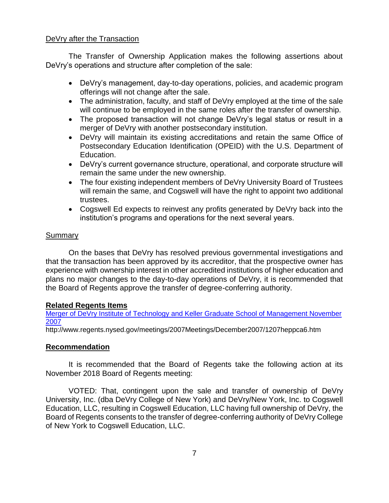### DeVry after the Transaction

The Transfer of Ownership Application makes the following assertions about DeVry's operations and structure after completion of the sale:

- DeVry's management, day-to-day operations, policies, and academic program offerings will not change after the sale.
- The administration, faculty, and staff of DeVry employed at the time of the sale will continue to be employed in the same roles after the transfer of ownership.
- The proposed transaction will not change DeVry's legal status or result in a merger of DeVry with another postsecondary institution.
- DeVry will maintain its existing accreditations and retain the same Office of Postsecondary Education Identification (OPEID) with the U.S. Department of Education.
- DeVry's current governance structure, operational, and corporate structure will remain the same under the new ownership.
- The four existing independent members of DeVry University Board of Trustees will remain the same, and Cogswell will have the right to appoint two additional trustees.
- Cogswell Ed expects to reinvest any profits generated by DeVry back into the institution's programs and operations for the next several years.

# **Summary**

On the bases that DeVry has resolved previous governmental investigations and that the transaction has been approved by its accreditor, that the prospective owner has experience with ownership interest in other accredited institutions of higher education and plans no major changes to the day-to-day operations of DeVry, it is recommended that the Board of Regents approve the transfer of degree-conferring authority.

### **Related Regents Items**

Merger [of DeVry Institute of Technology and Keller Graduate School of Management November](http://www.regents.nysed.gov/meetings/2007Meetings/December2007/1207heppca6.htm)  [2007](http://www.regents.nysed.gov/meetings/2007Meetings/December2007/1207heppca6.htm)

http://www.regents.nysed.gov/meetings/2007Meetings/December2007/1207heppca6.htm

# **Recommendation**

It is recommended that the Board of Regents take the following action at its November 2018 Board of Regents meeting:

VOTED: That, contingent upon the sale and transfer of ownership of DeVry University, Inc. (dba DeVry College of New York) and DeVry/New York, Inc. to Cogswell Education, LLC, resulting in Cogswell Education, LLC having full ownership of DeVry, the Board of Regents consents to the transfer of degree-conferring authority of DeVry College of New York to Cogswell Education, LLC.